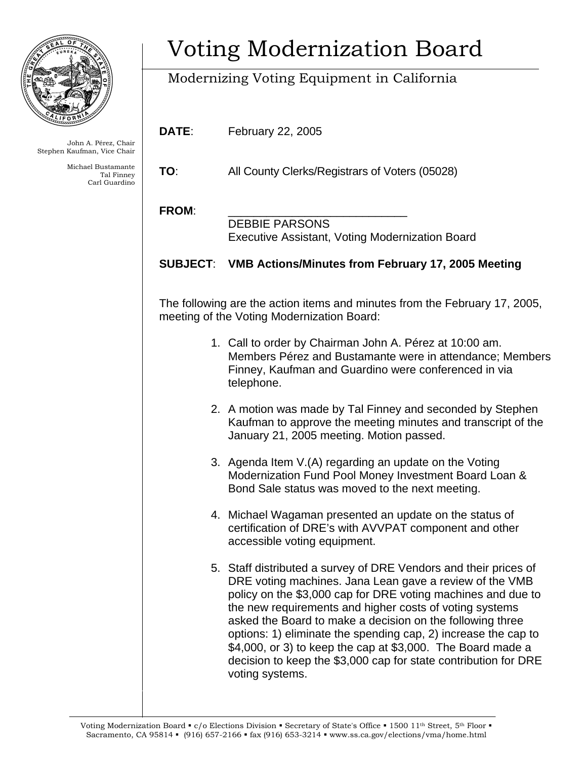

John A. Pérez, Chair Stephen Kaufman, Vice Chair

> Michael Bustamante Tal Finney Carl Guardino

# Voting Modernization Board

## Modernizing Voting Equipment in California

**DATE**: February 22, 2005

**TO**: All County Clerks/Registrars of Voters (05028)

### FROM:

 DEBBIE PARSONS Executive Assistant, Voting Modernization Board

### **SUBJECT**: **VMB Actions/Minutes from February 17, 2005 Meeting**

The following are the action items and minutes from the February 17, 2005, meeting of the Voting Modernization Board:

- 1. Call to order by Chairman John A. Pérez at 10:00 am. Members Pérez and Bustamante were in attendance; Members Finney, Kaufman and Guardino were conferenced in via telephone.
- 2. A motion was made by Tal Finney and seconded by Stephen Kaufman to approve the meeting minutes and transcript of the January 21, 2005 meeting. Motion passed.
- 3. Agenda Item V.(A) regarding an update on the Voting Modernization Fund Pool Money Investment Board Loan & Bond Sale status was moved to the next meeting.
- 4. Michael Wagaman presented an update on the status of certification of DRE's with AVVPAT component and other accessible voting equipment.
- 5. Staff distributed a survey of DRE Vendors and their prices of DRE voting machines. Jana Lean gave a review of the VMB policy on the \$3,000 cap for DRE voting machines and due to the new requirements and higher costs of voting systems asked the Board to make a decision on the following three options: 1) eliminate the spending cap, 2) increase the cap to \$4,000, or 3) to keep the cap at \$3,000. The Board made a decision to keep the \$3,000 cap for state contribution for DRE voting systems.